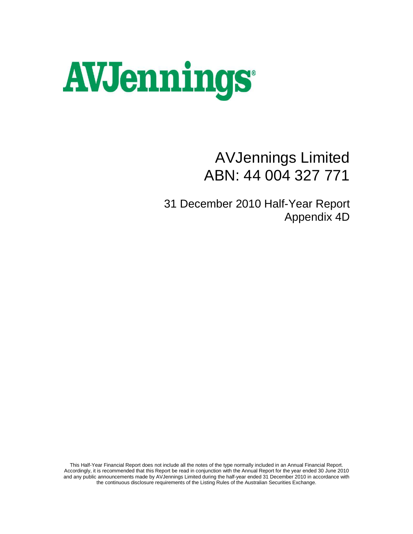# **AVJennings®**

# AVJennings Limited ABN: 44 004 327 771

31 December 2010 Half-Year Report Appendix 4D

This Half-Year Financial Report does not include all the notes of the type normally included in an Annual Financial Report. Accordingly, it is recommended that this Report be read in conjunction with the Annual Report for the year ended 30 June 2010 and any public announcements made by AVJennings Limited during the half-year ended 31 December 2010 in accordance with the continuous disclosure requirements of the Listing Rules of the Australian Securities Exchange.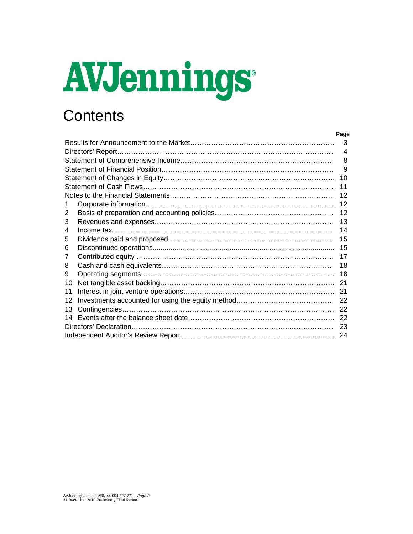# **AVJennings**

# **Contents**

| Page |
|------|
| -3   |
|      |
| 8    |
|      |
|      |
|      |
|      |
|      |
|      |
|      |
|      |
|      |
|      |
|      |
|      |
|      |
|      |
|      |
|      |
|      |
|      |
|      |
|      |
|      |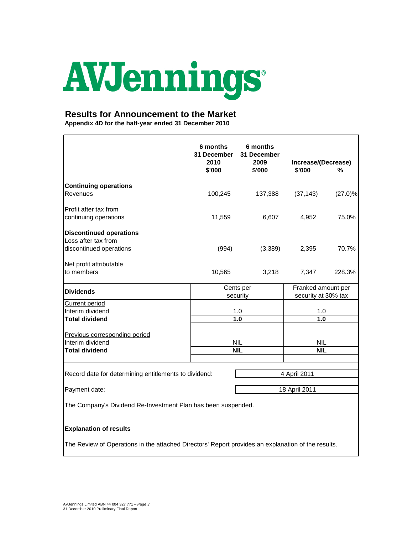# AVJennings

# **Results for Announcement to the Market**

**Appendix 4D for the half-year ended 31 December 2010**

|                                                                                                    | 6 months<br><b>31 December</b><br>2010<br>\$'000 | 6 months<br>31 December<br>2009<br>\$'000 | Increase/(Decrease)<br>\$'000 | %                  |
|----------------------------------------------------------------------------------------------------|--------------------------------------------------|-------------------------------------------|-------------------------------|--------------------|
| <b>Continuing operations</b>                                                                       |                                                  |                                           |                               |                    |
| Revenues                                                                                           | 100,245                                          | 137,388                                   | (37, 143)                     | $(27.0)\%$         |
| Profit after tax from                                                                              |                                                  |                                           |                               |                    |
| continuing operations                                                                              | 11,559                                           | 6,607                                     | 4,952                         | 75.0%              |
| <b>Discontinued operations</b>                                                                     |                                                  |                                           |                               |                    |
| Loss after tax from                                                                                |                                                  |                                           |                               |                    |
| discontinued operations                                                                            | (994)                                            | (3,389)                                   | 2,395                         | 70.7%              |
| Net profit attributable                                                                            |                                                  |                                           |                               |                    |
| to members                                                                                         | 10,565                                           | 3,218                                     | 7,347                         | 228.3%             |
| <b>Dividends</b>                                                                                   |                                                  | Cents per                                 |                               | Franked amount per |
|                                                                                                    |                                                  | security                                  | security at 30% tax           |                    |
| <b>Current period</b><br>Interim dividend                                                          |                                                  | 1.0                                       | 1.0                           |                    |
| <b>Total dividend</b>                                                                              |                                                  | 1.0                                       | 1.0                           |                    |
|                                                                                                    |                                                  |                                           |                               |                    |
| Previous corresponding period<br>Interim dividend                                                  |                                                  | <b>NIL</b>                                | <b>NIL</b>                    |                    |
| <b>Total dividend</b>                                                                              |                                                  | <b>NIL</b>                                | <b>NIL</b>                    |                    |
|                                                                                                    |                                                  |                                           |                               |                    |
| Record date for determining entitlements to dividend:                                              |                                                  |                                           | 4 April 2011                  |                    |
|                                                                                                    |                                                  |                                           |                               |                    |
| 18 April 2011<br>Payment date:                                                                     |                                                  |                                           |                               |                    |
| The Company's Dividend Re-Investment Plan has been suspended.                                      |                                                  |                                           |                               |                    |
| <b>Explanation of results</b>                                                                      |                                                  |                                           |                               |                    |
| The Review of Operations in the attached Directors' Report provides an explanation of the results. |                                                  |                                           |                               |                    |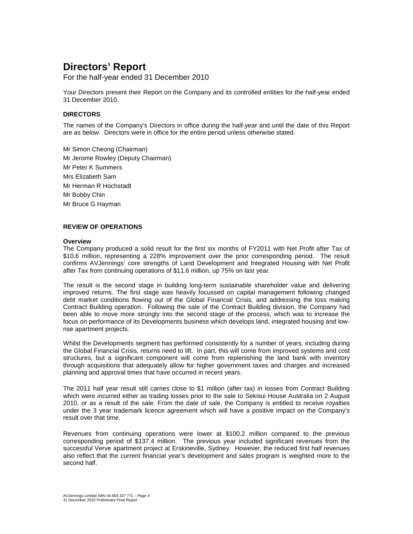For the half-year ended 31 December 2010

Your Directors present their Report on the Company and its controlled entities for the half-year ended 31 December 2010.

# **DIRECTORS**

The names of the Company's Directors in office during the half-year and until the date of this Report are as below. Directors were in office for the entire period unless otherwise stated.

Mr Simon Cheong (Chairman) Mr Jerome Rowley (Deputy Chairman) Mr Peter K Summers Mrs Elizabeth Sam Mr Herman R Hochstadt Mr Bobby Chin Mr Bruce G Hayman

# **REVIEW OF OPERATIONS**

### **Overview**

The Company produced a solid result for the first six months of FY2011 with Net Profit after Tax of \$10.6 million, representing a 228% improvement over the prior corresponding period. The result confirms AVJennings' core strengths of Land Development and Integrated Housing with Net Profit after Tax from continuing operations of \$11.6 million, up 75% on last year.

The result is the second stage in building long-term sustainable shareholder value and delivering improved returns. The first stage was heavily focussed on capital management following changed debt market conditions flowing out of the Global Financial Crisis, and addressing the loss making Contract Building operation. Following the sale of the Contract Building division, the Company had been able to move more strongly into the second stage of the process, which was to increase the focus on performance of its Developments business which develops land, integrated housing and lowrise apartment projects.

Whilst the Developments segment has performed consistently for a number of years, including during the Global Financial Crisis, returns need to lift. In part, this will come from improved systems and cost structures, but a significant component will come from replenishing the land bank with inventory through acquisitions that adequately allow for higher government taxes and charges and increased planning and approval times that have occurred in recent years.

The 2011 half year result still carries close to \$1 million (after tax) in losses from Contract Building which were incurred either as trading losses prior to the sale to Sekisui House Australia on 2 August 2010, or as a result of the sale. From the date of sale, the Company is entitled to receive royalties under the 3 year trademark licence agreement which will have a positive impact on the Company's result over that time.

Revenues from continuing operations were lower at \$100.2 million compared to the previous corresponding period of \$137.4 million. The previous year included significant revenues from the successful Verve apartment project at Erskineville, Sydney. However, the reduced first half revenues also reflect that the current financial year's development and sales program is weighted more to the second half.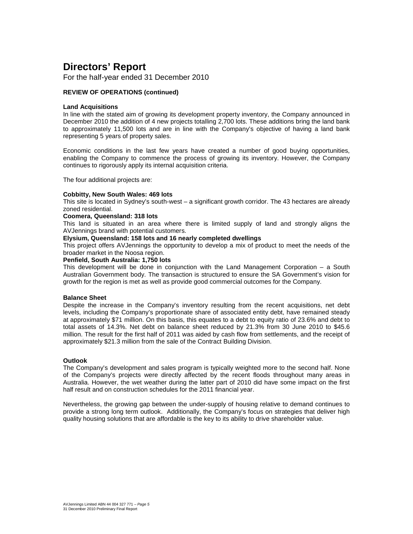For the half-year ended 31 December 2010

# **REVIEW OF OPERATIONS (continued)**

### **Land Acquisitions**

In line with the stated aim of growing its development property inventory, the Company announced in December 2010 the addition of 4 new projects totalling 2,700 lots. These additions bring the land bank to approximately 11,500 lots and are in line with the Company's objective of having a land bank representing 5 years of property sales.

Economic conditions in the last few years have created a number of good buying opportunities, enabling the Company to commence the process of growing its inventory. However, the Company continues to rigorously apply its internal acquisition criteria.

The four additional projects are:

### **Cobbitty, New South Wales: 469 lots**

This site is located in Sydney's south-west – a significant growth corridor. The 43 hectares are already zoned residential.

### **Coomera, Queensland: 318 lots**

This land is situated in an area where there is limited supply of land and strongly aligns the AVJennings brand with potential customers.

# **Elysium, Queensland: 158 lots and 16 nearly completed dwellings**

This project offers AVJennings the opportunity to develop a mix of product to meet the needs of the broader market in the Noosa region.

### **Penfield, South Australia: 1,750 lots**

This development will be done in conjunction with the Land Management Corporation – a South Australian Government body. The transaction is structured to ensure the SA Government's vision for growth for the region is met as well as provide good commercial outcomes for the Company.

### **Balance Sheet**

Despite the increase in the Company's inventory resulting from the recent acquisitions, net debt levels, including the Company's proportionate share of associated entity debt, have remained steady at approximately \$71 million. On this basis, this equates to a debt to equity ratio of 23.6% and debt to total assets of 14.3%. Net debt on balance sheet reduced by 21.3% from 30 June 2010 to \$45.6 million. The result for the first half of 2011 was aided by cash flow from settlements, and the receipt of approximately \$21.3 million from the sale of the Contract Building Division.

# **Outlook**

The Company's development and sales program is typically weighted more to the second half. None of the Company's projects were directly affected by the recent floods throughout many areas in Australia. However, the wet weather during the latter part of 2010 did have some impact on the first half result and on construction schedules for the 2011 financial year.

Nevertheless, the growing gap between the under-supply of housing relative to demand continues to provide a strong long term outlook. Additionally, the Company's focus on strategies that deliver high quality housing solutions that are affordable is the key to its ability to drive shareholder value.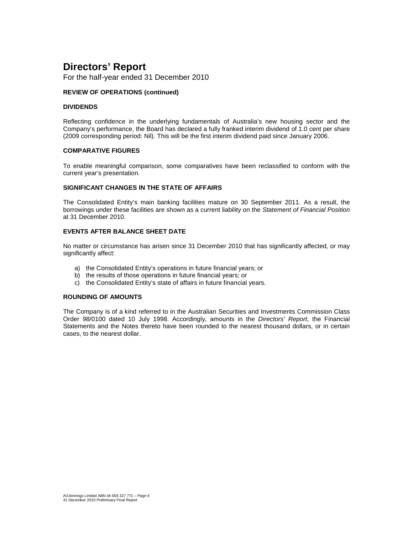For the half-year ended 31 December 2010

# **REVIEW OF OPERATIONS (continued)**

### **DIVIDENDS**

Reflecting confidence in the underlying fundamentals of Australia's new housing sector and the Company's performance, the Board has declared a fully franked interim dividend of 1.0 cent per share (2009 corresponding period: Nil). This will be the first interim dividend paid since January 2006.

# **COMPARATIVE FIGURES**

To enable meaningful comparison, some comparatives have been reclassified to conform with the current year's presentation.

# **SIGNIFICANT CHANGES IN THE STATE OF AFFAIRS**

The Consolidated Entity's main banking facilities mature on 30 September 2011. As a result, the borrowings under these facilities are shown as a current liability on the Statement of Financial Position at 31 December 2010.

# **EVENTS AFTER BALANCE SHEET DATE**

No matter or circumstance has arisen since 31 December 2010 that has significantly affected, or may significantly affect:

- a) the Consolidated Entity's operations in future financial years; or
- b) the results of those operations in future financial years; or
- c) the Consolidated Entity's state of affairs in future financial years.

### **ROUNDING OF AMOUNTS**

The Company is of a kind referred to in the Australian Securities and Investments Commission Class Order 98/0100 dated 10 July 1998. Accordingly, amounts in the Directors' Report, the Financial Statements and the Notes thereto have been rounded to the nearest thousand dollars, or in certain cases, to the nearest dollar.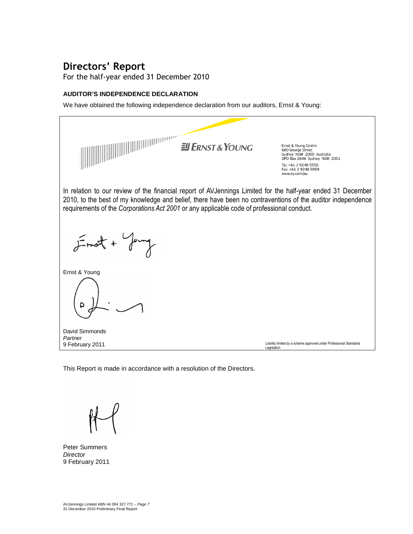For the half-year ended 31 December 2010

# **AUDITOR'S INDEPENDENCE DECLARATION**

We have obtained the following independence declaration from our auditors, Ernst & Young:



This Report is made in accordance with a resolution of the Directors.

Peter Summers **Director** 9 February 2011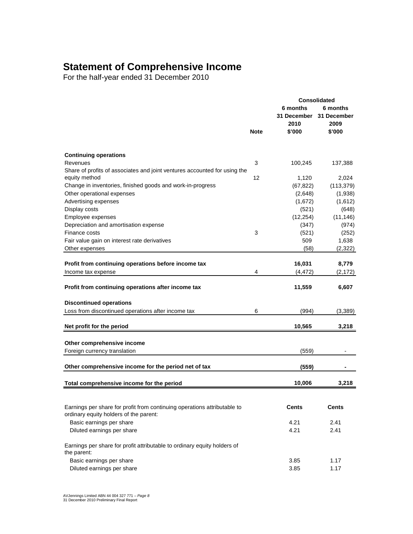# **Statement of Comprehensive Income**

For the half-year ended 31 December 2010

|                                                                                         |             |                                        | Consolidated                    |  |
|-----------------------------------------------------------------------------------------|-------------|----------------------------------------|---------------------------------|--|
|                                                                                         |             | 6 months<br><b>31 December</b><br>2010 | 6 months<br>31 December<br>2009 |  |
|                                                                                         | <b>Note</b> | \$'000                                 | \$'000                          |  |
|                                                                                         |             |                                        |                                 |  |
| <b>Continuing operations</b>                                                            |             |                                        |                                 |  |
| Revenues                                                                                | 3           | 100,245                                | 137,388                         |  |
| Share of profits of associates and joint ventures accounted for using the               |             |                                        |                                 |  |
| equity method                                                                           | 12          | 1,120                                  | 2,024                           |  |
| Change in inventories, finished goods and work-in-progress                              |             | (67, 822)                              | (113, 379)                      |  |
| Other operational expenses                                                              |             | (2,648)                                | (1,938)                         |  |
| Advertising expenses                                                                    |             | (1,672)                                | (1,612)                         |  |
| Display costs                                                                           |             | (521)                                  | (648)                           |  |
| Employee expenses                                                                       |             | (12, 254)                              | (11, 146)                       |  |
| Depreciation and amortisation expense                                                   |             | (347)                                  | (974)                           |  |
| Finance costs                                                                           | 3           | (521)                                  | (252)                           |  |
| Fair value gain on interest rate derivatives                                            |             | 509                                    | 1,638                           |  |
| Other expenses                                                                          |             | (58)                                   | (2,322)                         |  |
|                                                                                         |             |                                        |                                 |  |
| Profit from continuing operations before income tax                                     |             | 16,031                                 | 8,779                           |  |
| Income tax expense                                                                      | 4           | (4,472)                                | (2, 172)                        |  |
| Profit from continuing operations after income tax                                      |             | 11,559                                 | 6,607                           |  |
| <b>Discontinued operations</b>                                                          |             |                                        |                                 |  |
| Loss from discontinued operations after income tax                                      | 6           | (994)                                  | (3,389)                         |  |
|                                                                                         |             |                                        |                                 |  |
| Net profit for the period                                                               |             | 10,565                                 | 3,218                           |  |
|                                                                                         |             |                                        |                                 |  |
| Other comprehensive income                                                              |             |                                        |                                 |  |
| Foreign currency translation                                                            |             | (559)                                  |                                 |  |
|                                                                                         |             |                                        |                                 |  |
| Other comprehensive income for the period net of tax                                    |             | (559)                                  |                                 |  |
| Total comprehensive income for the period                                               |             | 10,006                                 | 3,218                           |  |
|                                                                                         |             |                                        |                                 |  |
| Earnings per share for profit from continuing operations attributable to                |             | Cents                                  | Cents                           |  |
| ordinary equity holders of the parent:                                                  |             |                                        |                                 |  |
| Basic earnings per share                                                                |             | 4.21                                   | 2.41                            |  |
| Diluted earnings per share                                                              |             | 4.21                                   | 2.41                            |  |
|                                                                                         |             |                                        |                                 |  |
| Earnings per share for profit attributable to ordinary equity holders of<br>the parent: |             |                                        |                                 |  |
| Basic earnings per share                                                                |             | 3.85                                   | 1.17                            |  |
| Diluted earnings per share                                                              |             | 3.85                                   | 1.17                            |  |
|                                                                                         |             |                                        |                                 |  |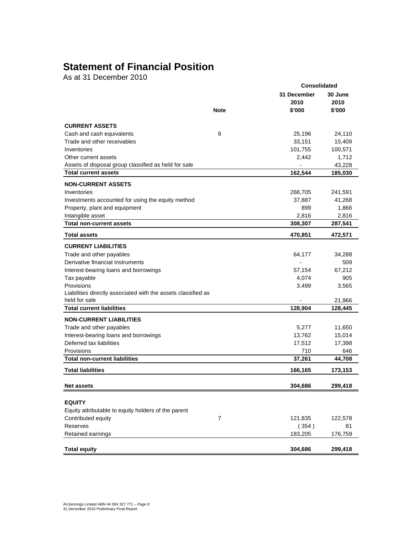# **Statement of Financial Position**

As at 31 December 2010

|                                                               |                | <b>Consolidated</b>      |                 |  |  |
|---------------------------------------------------------------|----------------|--------------------------|-----------------|--|--|
|                                                               |                | 31 December<br>2010      | 30 June<br>2010 |  |  |
|                                                               | <b>Note</b>    | \$'000                   | \$'000          |  |  |
| <b>CURRENT ASSETS</b>                                         |                |                          |                 |  |  |
| Cash and cash equivalents                                     | 8              | 25,196                   | 24,110          |  |  |
| Trade and other receivables                                   |                | 33,151                   | 15,409          |  |  |
| Inventories                                                   |                | 101,755                  | 100,571         |  |  |
| Other current assets                                          |                | 2,442                    | 1,712           |  |  |
| Assets of disposal group classified as held for sale          |                | $\overline{\phantom{a}}$ | 43,228          |  |  |
| <b>Total current assets</b>                                   |                | 162,544                  | 185,030         |  |  |
| <b>NON-CURRENT ASSETS</b>                                     |                |                          |                 |  |  |
| Inventories                                                   |                | 266,705                  | 241,591         |  |  |
| Investments accounted for using the equity method             |                | 37,887                   | 41,268          |  |  |
| Property, plant and equipment                                 |                | 899                      | 1,866           |  |  |
| Intangible asset                                              |                | 2,816                    | 2,816           |  |  |
| <b>Total non-current assets</b>                               |                | 308,307                  | 287,541         |  |  |
| <b>Total assets</b>                                           |                | 470,851                  | 472,571         |  |  |
| <b>CURRENT LIABILITIES</b>                                    |                |                          |                 |  |  |
| Trade and other payables                                      |                | 64,177                   | 34,288          |  |  |
| Derivative financial instruments                              |                | $\overline{\phantom{a}}$ | 509             |  |  |
| Interest-bearing loans and borrowings                         |                | 57,154                   | 67,212          |  |  |
| Tax payable                                                   |                | 4,074                    | 905             |  |  |
| Provisions                                                    |                | 3,499                    | 3,565           |  |  |
| Liabilities directly associated with the assets classified as |                |                          |                 |  |  |
| held for sale                                                 |                |                          | 21,966          |  |  |
| <b>Total current liabilities</b>                              |                | 128,904                  | 128,445         |  |  |
| <b>NON-CURRENT LIABILITIES</b>                                |                |                          |                 |  |  |
| Trade and other payables                                      |                | 5,277                    | 11,650          |  |  |
| Interest-bearing loans and borrowings                         |                | 13,762                   | 15,014          |  |  |
| Deferred tax liabilities                                      |                | 17,512                   | 17,398          |  |  |
| Provisions                                                    |                | 710                      | 646             |  |  |
| <b>Total non-current liabilities</b>                          |                | 37,261                   | 44,708          |  |  |
| <b>Total liabilities</b>                                      |                | 166,165                  | 173,153         |  |  |
| <b>Net assets</b>                                             |                | 304,686                  | 299,418         |  |  |
|                                                               |                |                          |                 |  |  |
| <b>EQUITY</b>                                                 |                |                          |                 |  |  |
| Equity attributable to equity holders of the parent           |                |                          |                 |  |  |
| Contributed equity                                            | $\overline{7}$ | 121,835                  | 122,578         |  |  |
| Reserves                                                      |                | (354)                    | 81              |  |  |
| Retained earnings                                             |                | 183,205                  | 176,759         |  |  |
| <b>Total equity</b>                                           |                |                          |                 |  |  |
|                                                               |                | 304,686                  | 299,418         |  |  |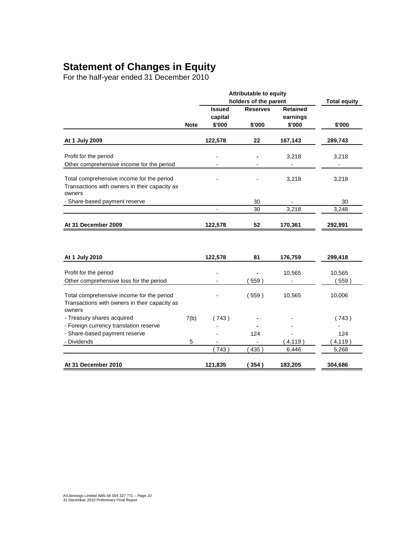# **Statement of Changes in Equity**

For the half-year ended 31 December 2010

|                                                                                                      |             | <b>Attributable to equity</b> |                          |                 |          |
|------------------------------------------------------------------------------------------------------|-------------|-------------------------------|--------------------------|-----------------|----------|
|                                                                                                      |             | holders of the parent         | <b>Total equity</b>      |                 |          |
|                                                                                                      |             | <b>Issued</b>                 | <b>Reserves</b>          | <b>Retained</b> |          |
|                                                                                                      |             | capital                       |                          | earnings        |          |
|                                                                                                      | <b>Note</b> | \$'000                        | \$'000                   | \$'000          | \$'000   |
| At 1 July 2009                                                                                       |             | 122,578                       | 22                       | 167,143         | 289,743  |
| Profit for the period                                                                                |             |                               |                          | 3,218           | 3,218    |
| Other comprehensive income for the period                                                            |             |                               |                          |                 |          |
| Total comprehensive income for the period<br>Transactions with owners in their capacity as<br>owners |             |                               |                          | 3,218           | 3,218    |
| - Share-based payment reserve                                                                        |             |                               | 30                       |                 | 30       |
|                                                                                                      |             | $\qquad \qquad \blacksquare$  | 30                       | 3,218           | 3,248    |
| At 31 December 2009                                                                                  |             | 122,578                       | 52                       | 170,361         | 292,991  |
| At 1 July 2010                                                                                       |             | 122,578                       | 81                       | 176,759         | 299,418  |
|                                                                                                      |             |                               |                          |                 |          |
| Profit for the period                                                                                |             |                               |                          | 10,565          | 10,565   |
| Other comprehensive loss for the period                                                              |             |                               | 559)                     |                 | (559)    |
| Total comprehensive income for the period<br>Transactions with owners in their capacity as<br>owners |             |                               | (559)                    | 10,565          | 10,006   |
| - Treasury shares acquired                                                                           | 7(b)        | (743)                         |                          |                 | (743)    |
| - Foreign currency translation reserve                                                               |             |                               |                          |                 |          |
| - Share-based payment reserve                                                                        |             |                               | 124                      |                 | 124      |
| - Dividends                                                                                          | 5           |                               | $\overline{\phantom{a}}$ | (4, 119)        | (4, 119) |
|                                                                                                      |             | (743)                         | 435)                     | 6,446           | 5,268    |
| At 31 December 2010                                                                                  |             | 121,835                       | 354)                     | 183,205         | 304,686  |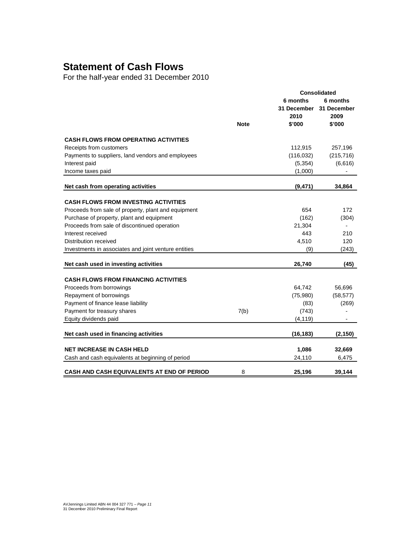# **Statement of Cash Flows**

For the half-year ended 31 December 2010

|                                                      | <b>Consolidated</b> |                                           |                                           |  |
|------------------------------------------------------|---------------------|-------------------------------------------|-------------------------------------------|--|
|                                                      | <b>Note</b>         | 6 months<br>31 December<br>2010<br>\$'000 | 6 months<br>31 December<br>2009<br>\$'000 |  |
|                                                      |                     |                                           |                                           |  |
| <b>CASH FLOWS FROM OPERATING ACTIVITIES</b>          |                     |                                           |                                           |  |
| Receipts from customers                              |                     | 112,915                                   | 257,196                                   |  |
| Payments to suppliers, land vendors and employees    |                     | (116, 032)                                | (215, 716)                                |  |
| Interest paid                                        |                     | (5, 354)                                  | (6,616)                                   |  |
| Income taxes paid                                    |                     | (1,000)                                   | $\overline{\phantom{0}}$                  |  |
| Net cash from operating activities                   |                     | (9, 471)                                  | 34,864                                    |  |
|                                                      |                     |                                           |                                           |  |
| <b>CASH FLOWS FROM INVESTING ACTIVITIES</b>          |                     |                                           |                                           |  |
| Proceeds from sale of property, plant and equipment  |                     | 654                                       | 172                                       |  |
| Purchase of property, plant and equipment            |                     | (162)                                     | (304)                                     |  |
| Proceeds from sale of discontinued operation         |                     | 21,304                                    |                                           |  |
| Interest received                                    |                     | 443                                       | 210                                       |  |
| Distribution received                                |                     | 4,510                                     | 120                                       |  |
| Investments in associates and joint venture entities |                     | (9)                                       | (243)                                     |  |
| Net cash used in investing activities                |                     | 26,740                                    | (45)                                      |  |
| <b>CASH FLOWS FROM FINANCING ACTIVITIES</b>          |                     |                                           |                                           |  |
| Proceeds from borrowings                             |                     | 64,742                                    | 56,696                                    |  |
| Repayment of borrowings                              |                     | (75,980)                                  | (58, 577)                                 |  |
| Payment of finance lease liability                   |                     | (83)                                      | (269)                                     |  |
| Payment for treasury shares                          | 7(b)                | (743)                                     |                                           |  |
| Equity dividends paid                                |                     | (4, 119)                                  |                                           |  |
| Net cash used in financing activities                |                     | (16, 183)                                 | (2, 150)                                  |  |
|                                                      |                     |                                           |                                           |  |
| <b>NET INCREASE IN CASH HELD</b>                     |                     | 1,086                                     | 32,669                                    |  |
| Cash and cash equivalents at beginning of period     |                     | 24,110                                    | 6,475                                     |  |
| CASH AND CASH EQUIVALENTS AT END OF PERIOD           | 8                   | 25,196                                    | 39,144                                    |  |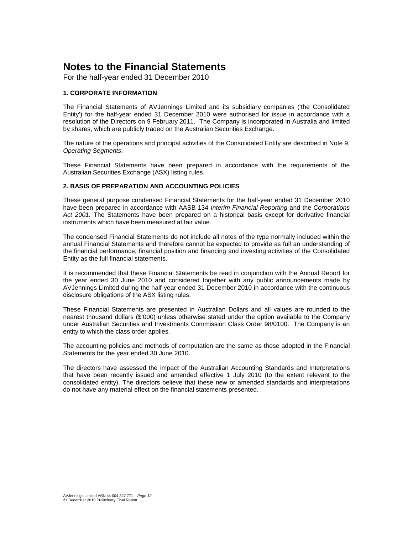For the half-year ended 31 December 2010

# **1. CORPORATE INFORMATION**

The Financial Statements of AVJennings Limited and its subsidiary companies ('the Consolidated Entity') for the half-year ended 31 December 2010 were authorised for issue in accordance with a resolution of the Directors on 9 February 2011. The Company is incorporated in Australia and limited by shares, which are publicly traded on the Australian Securities Exchange.

The nature of the operations and principal activities of the Consolidated Entity are described in Note 9, Operating Segments.

These Financial Statements have been prepared in accordance with the requirements of the Australian Securities Exchange (ASX) listing rules.

# **2. BASIS OF PREPARATION AND ACCOUNTING POLICIES**

These general purpose condensed Financial Statements for the half-year ended 31 December 2010 have been prepared in accordance with AASB 134 Interim Financial Reporting and the Corporations Act 2001. The Statements have been prepared on a historical basis except for derivative financial instruments which have been measured at fair value.

The condensed Financial Statements do not include all notes of the type normally included within the annual Financial Statements and therefore cannot be expected to provide as full an understanding of the financial performance, financial position and financing and investing activities of the Consolidated Entity as the full financial statements.

It is recommended that these Financial Statements be read in conjunction with the Annual Report for the year ended 30 June 2010 and considered together with any public announcements made by AVJennings Limited during the half-year ended 31 December 2010 in accordance with the continuous disclosure obligations of the ASX listing rules.

These Financial Statements are presented in Australian Dollars and all values are rounded to the nearest thousand dollars (\$'000) unless otherwise stated under the option available to the Company under Australian Securities and Investments Commission Class Order 98/0100. The Company is an entity to which the class order applies.

The accounting policies and methods of computation are the same as those adopted in the Financial Statements for the year ended 30 June 2010.

The directors have assessed the impact of the Australian Accounting Standards and Interpretations that have been recently issued and amended effective 1 July 2010 (to the extent relevant to the consolidated entity). The directors believe that these new or amended standards and interpretations do not have any material effect on the financial statements presented.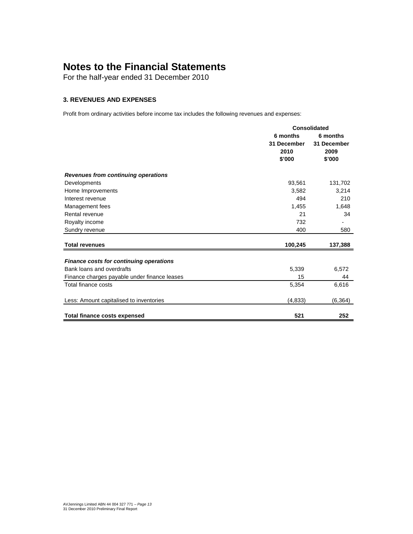For the half-year ended 31 December 2010

# **3. REVENUES AND EXPENSES**

Profit from ordinary activities before income tax includes the following revenues and expenses:

|                                                | Consolidated |             |  |
|------------------------------------------------|--------------|-------------|--|
|                                                | 6 months     | 6 months    |  |
|                                                | 31 December  | 31 December |  |
|                                                | 2010         | 2009        |  |
|                                                | \$'000       | \$'000      |  |
| Revenues from continuing operations            |              |             |  |
| Developments                                   | 93,561       | 131,702     |  |
| Home Improvements                              | 3,582        | 3,214       |  |
| Interest revenue                               | 494          | 210         |  |
| Management fees                                | 1,455        | 1,648       |  |
| Rental revenue                                 | 21           | 34          |  |
| Royalty income                                 | 732          |             |  |
| Sundry revenue                                 | 400          | 580         |  |
| <b>Total revenues</b>                          | 100,245      | 137,388     |  |
|                                                |              |             |  |
| <b>Finance costs for continuing operations</b> |              |             |  |
| Bank loans and overdrafts                      | 5,339        | 6,572       |  |
| Finance charges payable under finance leases   | 15           | 44          |  |
| Total finance costs                            | 5,354        | 6,616       |  |
| Less: Amount capitalised to inventories        | (4, 833)     | (6, 364)    |  |
|                                                |              |             |  |
| <b>Total finance costs expensed</b>            | 521          | 252         |  |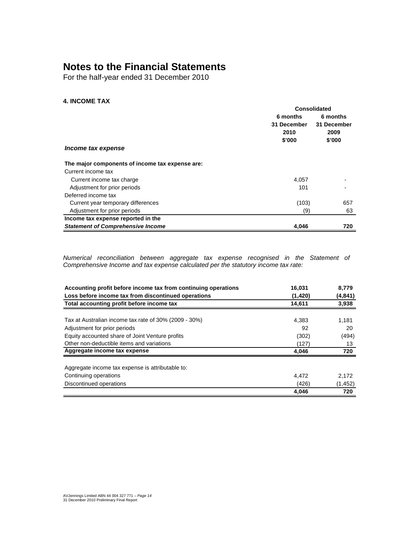For the half-year ended 31 December 2010

# **4. INCOME TAX**

|                                                 | Consolidated |             |  |
|-------------------------------------------------|--------------|-------------|--|
|                                                 | 6 months     | 6 months    |  |
|                                                 | 31 December  | 31 December |  |
|                                                 | 2010         | 2009        |  |
|                                                 | \$'000       | \$'000      |  |
| Income tax expense                              |              |             |  |
| The major components of income tax expense are: |              |             |  |
| Current income tax                              |              |             |  |
| Current income tax charge                       | 4,057        |             |  |
| Adjustment for prior periods                    | 101          |             |  |
| Deferred income tax                             |              |             |  |
| Current year temporary differences              | (103)        | 657         |  |
| Adjustment for prior periods                    | (9)          | 63          |  |
| Income tax expense reported in the              |              |             |  |
| <b>Statement of Comprehensive Income</b>        | 4,046        | 720         |  |

Numerical reconciliation between aggregate tax expense recognised in the Statement of Comprehensive Income and tax expense calculated per the statutory income tax rate:

| Accounting profit before income tax from continuing operations | 16,031      | 8,779       |
|----------------------------------------------------------------|-------------|-------------|
| Loss before income tax from discontinued operations            | (1,420)     | (4, 841)    |
| Total accounting profit before income tax                      | 14,611      | 3,938       |
| Tax at Australian income tax rate of 30% (2009 - 30%)          |             |             |
|                                                                | 4,383<br>92 | 1,181<br>20 |
| Adjustment for prior periods                                   |             |             |
| Equity accounted share of Joint Venture profits                | (302)       | (494)       |
| Other non-deductible items and variations                      | (127)       | 13          |
| Aggregate income tax expense                                   | 4,046       | 720         |
| Aggregate income tax expense is attributable to:               |             |             |
| Continuing operations                                          | 4,472       | 2,172       |
| Discontinued operations                                        | (426)       | (1, 452)    |
|                                                                | 4,046       | 720         |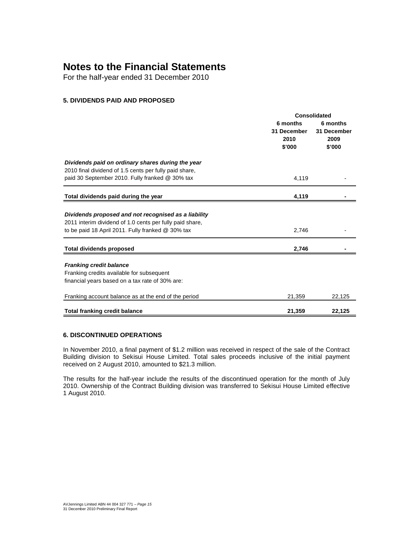For the half-year ended 31 December 2010

# **5. DIVIDENDS PAID AND PROPOSED**

|                                                                                                                                                                       | <b>Consolidated</b>                       |                                           |  |
|-----------------------------------------------------------------------------------------------------------------------------------------------------------------------|-------------------------------------------|-------------------------------------------|--|
|                                                                                                                                                                       | 6 months<br>31 December<br>2010<br>\$'000 | 6 months<br>31 December<br>2009<br>\$'000 |  |
| Dividends paid on ordinary shares during the year<br>2010 final dividend of 1.5 cents per fully paid share,<br>paid 30 September 2010. Fully franked @ 30% tax        | 4,119                                     |                                           |  |
| Total dividends paid during the year                                                                                                                                  | 4,119                                     |                                           |  |
| Dividends proposed and not recognised as a liability<br>2011 interim dividend of 1.0 cents per fully paid share,<br>to be paid 18 April 2011. Fully franked @ 30% tax | 2,746                                     |                                           |  |
| <b>Total dividends proposed</b>                                                                                                                                       | 2,746                                     |                                           |  |
| <b>Franking credit balance</b><br>Franking credits available for subsequent<br>financial years based on a tax rate of 30% are:                                        |                                           |                                           |  |
| Franking account balance as at the end of the period                                                                                                                  | 21,359                                    | 22,125                                    |  |
| <b>Total franking credit balance</b>                                                                                                                                  | 21,359                                    | 22,125                                    |  |

# **6. DISCONTINUED OPERATIONS**

In November 2010, a final payment of \$1.2 million was received in respect of the sale of the Contract Building division to Sekisui House Limited. Total sales proceeds inclusive of the initial payment received on 2 August 2010, amounted to \$21.3 million.

The results for the half-year include the results of the discontinued operation for the month of July 2010. Ownership of the Contract Building division was transferred to Sekisui House Limited effective 1 August 2010.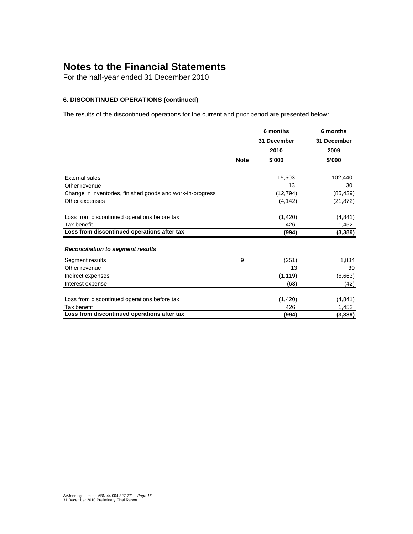For the half-year ended 31 December 2010

# **6. DISCONTINUED OPERATIONS (continued)**

The results of the discontinued operations for the current and prior period are presented below:

|                                                            |             | 6 months    | 6 months    |
|------------------------------------------------------------|-------------|-------------|-------------|
|                                                            |             | 31 December | 31 December |
|                                                            |             | 2010        | 2009        |
|                                                            | <b>Note</b> | \$'000      | \$'000      |
| External sales                                             |             | 15,503      | 102,440     |
| Other revenue                                              |             | 13          | 30          |
| Change in inventories, finished goods and work-in-progress |             | (12, 794)   | (85, 439)   |
| Other expenses                                             |             | (4, 142)    | (21, 872)   |
|                                                            |             |             |             |
| Loss from discontinued operations before tax               |             | (1,420)     | (4, 841)    |
| Tax benefit                                                |             | 426         | 1,452       |
| Loss from discontinued operations after tax                |             | (994)       | (3, 389)    |
|                                                            |             |             |             |
| <b>Reconciliation to segment results</b>                   |             |             |             |
| Segment results                                            | 9           | (251)       | 1,834       |
| Other revenue                                              |             | 13          | 30          |
| Indirect expenses                                          |             | (1, 119)    | (6,663)     |
| Interest expense                                           |             | (63)        | (42)        |
|                                                            |             |             |             |
| Loss from discontinued operations before tax               |             | (1,420)     | (4, 841)    |
| Tax benefit                                                |             | 426         | 1,452       |
| Loss from discontinued operations after tax                |             | (994)       | (3, 389)    |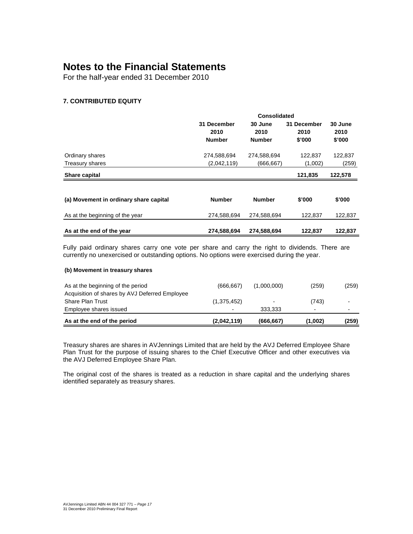For the half-year ended 31 December 2010

# **7. CONTRIBUTED EQUITY**

|                                        | Consolidated                         |                                  |                               |                           |
|----------------------------------------|--------------------------------------|----------------------------------|-------------------------------|---------------------------|
|                                        | 31 December<br>2010<br><b>Number</b> | 30 June<br>2010<br><b>Number</b> | 31 December<br>2010<br>\$'000 | 30 June<br>2010<br>\$'000 |
| Ordinary shares                        | 274,588,694                          | 274,588,694                      | 122,837                       | 122,837                   |
| Treasury shares                        | (2,042,119)                          | (666,667)                        | (1,002)                       | (259)                     |
| Share capital                          |                                      |                                  | 121,835                       | 122,578                   |
|                                        |                                      |                                  |                               |                           |
| (a) Movement in ordinary share capital | <b>Number</b>                        | <b>Number</b>                    | \$'000                        | \$'000                    |
| As at the beginning of the year        | 274,588,694                          | 274,588,694                      | 122,837                       | 122,837                   |
| As at the end of the year              | 274,588,694                          | 274,588,694                      | 122,837                       | 122,837                   |

Fully paid ordinary shares carry one vote per share and carry the right to dividends. There are currently no unexercised or outstanding options. No options were exercised during the year.

### **(b) Movement in treasury shares**

| As at the end of the period                    | (2,042,119) | (666,667)   | (1,002) | (259) |
|------------------------------------------------|-------------|-------------|---------|-------|
| Employee shares issued                         | $\sim$      | 333.333     | -       |       |
| <b>Share Plan Trust</b>                        | (1,375,452) |             | (743)   |       |
| Acquisition of shares by AVJ Deferred Employee |             |             |         |       |
| As at the beginning of the period              | (666.667)   | (1.000.000) | (259)   | (259) |

Treasury shares are shares in AVJennings Limited that are held by the AVJ Deferred Employee Share Plan Trust for the purpose of issuing shares to the Chief Executive Officer and other executives via the AVJ Deferred Employee Share Plan.

The original cost of the shares is treated as a reduction in share capital and the underlying shares identified separately as treasury shares.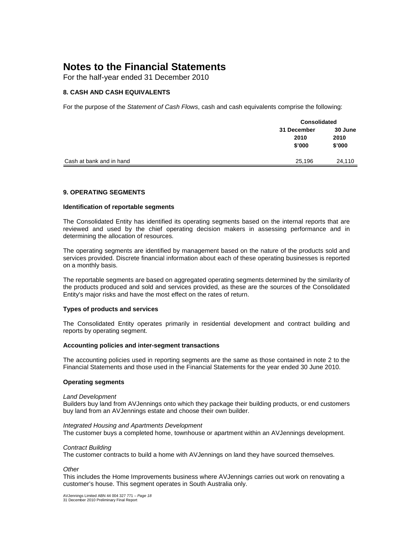For the half-year ended 31 December 2010

# **8. CASH AND CASH EQUIVALENTS**

For the purpose of the Statement of Cash Flows, cash and cash equivalents comprise the following:

|                          | <b>Consolidated</b> |                 |
|--------------------------|---------------------|-----------------|
|                          | 31 December<br>2010 | 30 June<br>2010 |
|                          | \$'000              | \$'000          |
| Cash at bank and in hand | 25,196              | 24,110          |

# **9. OPERATING SEGMENTS**

### **Identification of reportable segments**

The Consolidated Entity has identified its operating segments based on the internal reports that are reviewed and used by the chief operating decision makers in assessing performance and in determining the allocation of resources.

The operating segments are identified by management based on the nature of the products sold and services provided. Discrete financial information about each of these operating businesses is reported on a monthly basis.

The reportable segments are based on aggregated operating segments determined by the similarity of the products produced and sold and services provided, as these are the sources of the Consolidated Entity's major risks and have the most effect on the rates of return.

### **Types of products and services**

The Consolidated Entity operates primarily in residential development and contract building and reports by operating segment.

### **Accounting policies and inter-segment transactions**

The accounting policies used in reporting segments are the same as those contained in note 2 to the Financial Statements and those used in the Financial Statements for the year ended 30 June 2010.

### **Operating segments**

### Land Development

Builders buy land from AVJennings onto which they package their building products, or end customers buy land from an AVJennings estate and choose their own builder.

### Integrated Housing and Apartments Development

The customer buys a completed home, townhouse or apartment within an AVJennings development.

### Contract Building

The customer contracts to build a home with AVJennings on land they have sourced themselves.

**Other** 

This includes the Home Improvements business where AVJennings carries out work on renovating a customer's house. This segment operates in South Australia only.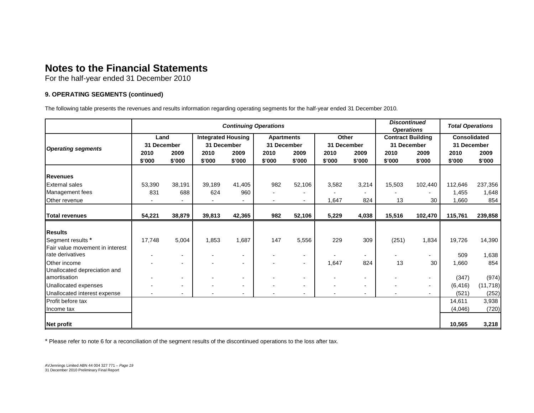For the half-year ended 31 December 2010

# **9. OPERATING SEGMENTS (continued)**

The following table presents the revenues and results information regarding operating segments for the half-year ended 31 December 2010.

|                                                     | <b>Continuing Operations</b> |                          |                                          |                          |                                  | <b>Discontinued</b><br><b>Operations</b> |                      | <b>Total Operations</b>  |                                         |                          |                                    |                |
|-----------------------------------------------------|------------------------------|--------------------------|------------------------------------------|--------------------------|----------------------------------|------------------------------------------|----------------------|--------------------------|-----------------------------------------|--------------------------|------------------------------------|----------------|
| <b>Operating segments</b>                           | Land<br>31 December          |                          | <b>Integrated Housing</b><br>31 December |                          | <b>Apartments</b><br>31 December |                                          | Other<br>31 December |                          | <b>Contract Building</b><br>31 December |                          | <b>Consolidated</b><br>31 December |                |
|                                                     | 2010<br>\$'000               | 2009<br>\$'000           | 2010<br>\$'000                           | 2009<br>\$'000           | 2010<br>\$'000                   | 2009<br>\$'000                           | 2010<br>\$'000       | 2009<br>\$'000           | 2010<br>\$'000                          | 2009<br>\$'000           | 2010<br>\$'000                     | 2009<br>\$'000 |
| Revenues                                            |                              |                          |                                          |                          |                                  |                                          |                      |                          |                                         |                          |                                    |                |
| <b>External sales</b>                               | 53,390                       | 38,191                   | 39,189                                   | 41,405                   | 982                              | 52,106                                   | 3,582                | 3,214                    | 15,503                                  | 102,440                  | 112,646                            | 237,356        |
| Management fees                                     | 831                          | 688                      | 624                                      | 960                      |                                  |                                          |                      | $\blacksquare$           |                                         |                          | 1,455                              | 1,648          |
| Other revenue                                       |                              |                          |                                          |                          |                                  | $\overline{a}$                           | 1,647                | 824                      | 13                                      | 30                       | 1,660                              | 854            |
| <b>Total revenues</b>                               | 54,221                       | 38,879                   | 39,813                                   | 42,365                   | 982                              | 52,106                                   | 5,229                | 4,038                    | 15,516                                  | 102,470                  | 115,761                            | 239,858        |
| <b>Results</b>                                      |                              |                          |                                          |                          |                                  |                                          |                      |                          |                                         |                          |                                    |                |
| Segment results *                                   | 17,748                       | 5,004                    | 1,853                                    | 1,687                    | 147                              | 5,556                                    | 229                  | 309                      | (251)                                   | 1,834                    | 19,726                             | 14,390         |
| Fair value movement in interest<br>rate derivatives |                              | $\blacksquare$           |                                          | $\blacksquare$           |                                  | $\blacksquare$                           |                      | $\blacksquare$           |                                         | $\overline{\phantom{0}}$ | 509                                | 1,638          |
| Other income                                        |                              | $\blacksquare$           |                                          | $\overline{\phantom{a}}$ |                                  | $\overline{\phantom{a}}$                 | 1,647                | 824                      | 13                                      | 30                       | 1,660                              | 854            |
| Unallocated depreciation and<br>amortisation        |                              | $\blacksquare$           |                                          | $\blacksquare$           |                                  | $\blacksquare$                           | -                    | $\blacksquare$           |                                         | $\overline{\phantom{0}}$ | (347)                              | (974)          |
| Unallocated expenses                                |                              | $\overline{\phantom{a}}$ |                                          | $\overline{\phantom{a}}$ |                                  | $\overline{\phantom{a}}$                 |                      | $\overline{\phantom{a}}$ |                                         | $\blacksquare$           | (6, 416)                           | (11, 718)      |
| Unallocated interest expense                        |                              |                          |                                          |                          |                                  |                                          |                      |                          |                                         |                          | (521)                              | (252)          |
| Profit before tax                                   |                              |                          |                                          |                          |                                  |                                          |                      |                          |                                         |                          | 14,611                             | 3,938          |
| Income tax                                          |                              |                          |                                          |                          |                                  |                                          |                      |                          |                                         |                          | (4,046)                            | (720)          |
| Net profit                                          |                              |                          |                                          |                          |                                  |                                          |                      |                          |                                         |                          | 10,565                             | 3,218          |

\* Please refer to note 6 for a reconciliation of the segment results of the discontinued operations to the loss after tax.

AVJennings Limited ABN 44 004 327 771 – Page 19 31 December 2010 Preliminary Final Report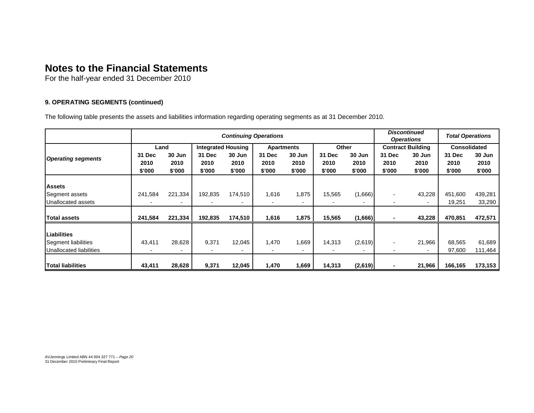For the half-year ended 31 December 2010

# **9. OPERATING SEGMENTS (continued)**

The following table presents the assets and liabilities information regarding operating segments as at 31 December 2010.

|                           | <b>Continuing Operations</b> |         |                           |         |        |                   |        | <b>Discontinued</b><br><b>Operations</b> |                          | <b>Total Operations</b>  |         |                     |  |
|---------------------------|------------------------------|---------|---------------------------|---------|--------|-------------------|--------|------------------------------------------|--------------------------|--------------------------|---------|---------------------|--|
|                           | Land                         |         | <b>Integrated Housing</b> |         |        | <b>Apartments</b> |        | Other                                    |                          | <b>Contract Building</b> |         | <b>Consolidated</b> |  |
|                           | 31 Dec                       | 30 Jun  | 31 Dec                    | 30 Jun  | 31 Dec | 30 Jun            | 31 Dec | 30 Jun                                   | 31 Dec                   | 30 Jun                   | 31 Dec  | 30 Jun              |  |
| <b>Operating segments</b> | 2010                         | 2010    | 2010                      | 2010    | 2010   | 2010              | 2010   | 2010                                     | 2010                     | 2010                     | 2010    | 2010                |  |
|                           | \$'000                       | \$'000  | \$'000                    | \$'000  | \$'000 | \$'000            | \$'000 | \$'000                                   | \$'000                   | \$'000                   | \$'000  | \$'000              |  |
|                           |                              |         |                           |         |        |                   |        |                                          |                          |                          |         |                     |  |
| <b>Assets</b>             |                              |         |                           |         |        |                   |        |                                          |                          |                          |         |                     |  |
| Segment assets            | 241,584                      | 221,334 | 192,835                   | 174,510 | 1,616  | 1,875             | 15,565 | (1,666)                                  | $\overline{\phantom{a}}$ | 43,228                   | 451,600 | 439,281             |  |
| Unallocated assets        |                              |         |                           |         |        |                   |        |                                          |                          | $\overline{a}$           | 19,251  | 33,290              |  |
|                           |                              |         |                           |         |        |                   |        |                                          |                          |                          |         |                     |  |
| <b>Total assets</b>       | 241,584                      | 221,334 | 192,835                   | 174,510 | 1,616  | 1,875             | 15,565 | (1,666)                                  |                          | 43,228                   | 470,851 | 472,571             |  |
|                           |                              |         |                           |         |        |                   |        |                                          |                          |                          |         |                     |  |
| <b>Liabilities</b>        |                              |         |                           |         |        |                   |        |                                          |                          |                          |         |                     |  |
| Segment liabilities       | 43,411                       | 28,628  | 9,371                     | 12,045  | 1,470  | 1,669             | 14,313 | (2,619)                                  | $\blacksquare$           | 21,966                   | 68,565  | 61,689              |  |
| Unallocated liabilities   |                              |         |                           |         |        |                   |        |                                          |                          |                          | 97,600  | 111,464             |  |
|                           |                              |         |                           |         |        |                   |        |                                          |                          |                          |         |                     |  |
| <b>ITotal liabilities</b> | 43,411                       | 28,628  | 9,371                     | 12,045  | 1,470  | 1,669             | 14,313 | (2,619)                                  | ۰                        | 21,966                   | 166,165 | 173,153             |  |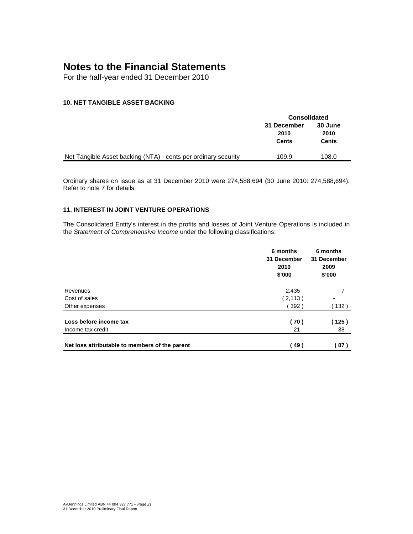For the half-year ended 31 December 2010

# **10. NET TANGIBLE ASSET BACKING**

|                                                                | <b>Consolidated</b> |         |  |  |
|----------------------------------------------------------------|---------------------|---------|--|--|
|                                                                | 31 December         | 30 June |  |  |
|                                                                | 2010                | 2010    |  |  |
|                                                                | Cents               | Cents   |  |  |
|                                                                |                     |         |  |  |
| Net Tangible Asset backing (NTA) - cents per ordinary security | 109.9               | 108.0   |  |  |

Ordinary shares on issue as at 31 December 2010 were 274,588,694 (30 June 2010: 274,588,694). Refer to note 7 for details.

# **11. INTEREST IN JOINT VENTURE OPERATIONS**

The Consolidated Entity's interest in the profits and losses of Joint Venture Operations is included in the Statement of Comprehensive Income under the following classifications:

|                                                | 6 months<br>31 December<br>2010<br>\$'000 | 6 months<br>31 December<br>2009<br>\$'000 |
|------------------------------------------------|-------------------------------------------|-------------------------------------------|
| Revenues                                       | 2,435                                     | 7                                         |
| Cost of sales                                  | (2, 113)                                  | $\blacksquare$                            |
| Other expenses                                 | 392)                                      | 132)                                      |
| Loss before income tax<br>Income tax credit    | (70)<br>21                                | (125)<br>38                               |
|                                                |                                           |                                           |
| Net loss attributable to members of the parent | 49)                                       | 87)                                       |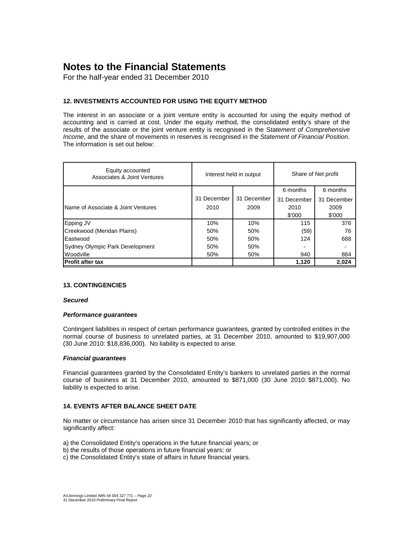For the half-year ended 31 December 2010

# **12. INVESTMENTS ACCOUNTED FOR USING THE EQUITY METHOD**

The interest in an associate or a joint venture entity is accounted for using the equity method of accounting and is carried at cost. Under the equity method, the consolidated entity's share of the results of the associate or the joint venture entity is recognised in the Statement of Comprehensive Income, and the share of movements in reserves is recognised in the Statement of Financial Position. The information is set out below:

| Equity accounted<br>Associates & Joint Ventures |             | Interest held in output | Share of Net profit |             |  |
|-------------------------------------------------|-------------|-------------------------|---------------------|-------------|--|
|                                                 |             |                         | 6 months            | 6 months    |  |
|                                                 | 31 December | 31 December             | 31 December         | 31 December |  |
| Name of Associate & Joint Ventures              | 2010        | 2009                    | 2010                | 2009        |  |
|                                                 |             |                         | \$'000              | \$'000      |  |
| Epping JV                                       | 10%         | 10%                     | 115                 | 376         |  |
| Creekwood (Meridan Plains)                      | 50%         | 50%                     | (59)                | 76          |  |
| Eastwood                                        | 50%         | 50%                     | 124                 | 688         |  |
| Sydney Olympic Park Development                 | 50%         | 50%                     |                     |             |  |
| Woodville                                       | 50%         | 50%                     | 940                 | 884         |  |
| <b>Profit after tax</b>                         |             |                         | 1.120               | 2,024       |  |

# **13. CONTINGENCIES**

### **Secured**

### **Performance guarantees**

Contingent liabilities in respect of certain performance guarantees, granted by controlled entities in the normal course of business to unrelated parties, at 31 December 2010, amounted to \$19,907,000 (30 June 2010: \$18,836,000). No liability is expected to arise.

### **Financial guarantees**

Financial guarantees granted by the Consolidated Entity's bankers to unrelated parties in the normal course of business at 31 December 2010, amounted to \$871,000 (30 June 2010: \$871,000). No liability is expected to arise.

### **14. EVENTS AFTER BALANCE SHEET DATE**

No matter or circumstance has arisen since 31 December 2010 that has significantly affected, or may significantly affect:

a) the Consolidated Entity's operations in the future financial years; or

b) the results of those operations in future financial years; or

c) the Consolidated Entity's state of affairs in future financial years.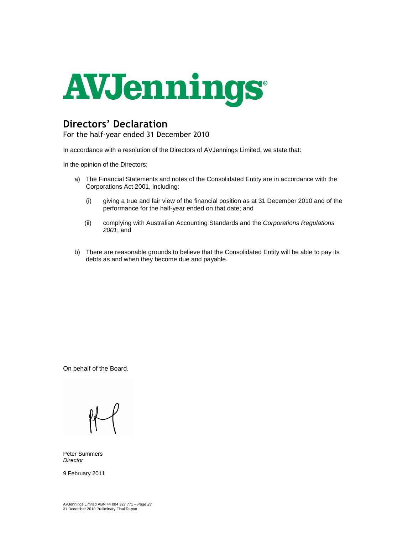

# Directors' Declaration

For the half-year ended 31 December 2010

In accordance with a resolution of the Directors of AVJennings Limited, we state that:

In the opinion of the Directors:

- a) The Financial Statements and notes of the Consolidated Entity are in accordance with the Corporations Act 2001, including:
	- (i) giving a true and fair view of the financial position as at 31 December 2010 and of the performance for the half-year ended on that date; and
	- (ii) complying with Australian Accounting Standards and the Corporations Regulations 2001; and
- b) There are reasonable grounds to believe that the Consolidated Entity will be able to pay its debts as and when they become due and payable.

On behalf of the Board.

Peter Summers **Director** 

9 February 2011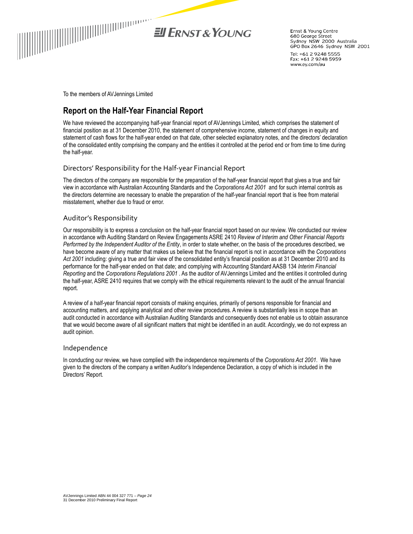

EL ERNST & YOUNG

Ernst & Young Centre 680 George Street Sydney NSW 2000 Australia GPO Box 2646 Sydney NSW 2001

Tel: +61 2 9248 5555 Fax: +61 2 9248 5959 www.ey.com/au

To the members of AVJennings Limited

# Report on the Half-Year Financial Report

We have reviewed the accompanying half-year financial report of AVJennings Limited, which comprises the statement of financial position as at 31 December 2010, the statement of comprehensive income, statement of changes in equity and statement of cash flows for the half-year ended on that date, other selected explanatory notes, and the directors' declaration of the consolidated entity comprising the company and the entities it controlled at the period end or from time to time during the half-year.

# Directors' Responsibility for the Half-year Financial Report

The directors of the company are responsible for the preparation of the half-year financial report that gives a true and fair view in accordance with Australian Accounting Standards and the Corporations Act 2001 and for such internal controls as the directors determine are necessary to enable the preparation of the half-year financial report that is free from material misstatement, whether due to fraud or error.

# Auditor's Responsibility

Our responsibility is to express a conclusion on the half-year financial report based on our review. We conducted our review in accordance with Auditing Standard on Review Engagements ASRE 2410 Review of Interim and Other Financial Reports Performed by the Independent Auditor of the Entity, in order to state whether, on the basis of the procedures described, we have become aware of any matter that makes us believe that the financial report is not in accordance with the Corporations Act 2001 including: giving a true and fair view of the consolidated entity's financial position as at 31 December 2010 and its performance for the half-year ended on that date; and complying with Accounting Standard AASB 134 Interim Financial Reporting and the Corporations Regulations 2001 . As the auditor of AVJennings Limited and the entities it controlled during the half-year, ASRE 2410 requires that we comply with the ethical requirements relevant to the audit of the annual financial report.

A review of a half-year financial report consists of making enquiries, primarily of persons responsible for financial and accounting matters, and applying analytical and other review procedures. A review is substantially less in scope than an audit conducted in accordance with Australian Auditing Standards and consequently does not enable us to obtain assurance that we would become aware of all significant matters that might be identified in an audit. Accordingly, we do not express an audit opinion.

### Independence

In conducting our review, we have complied with the independence requirements of the Corporations Act 2001. We have given to the directors of the company a written Auditor's Independence Declaration, a copy of which is included in the Directors' Report.